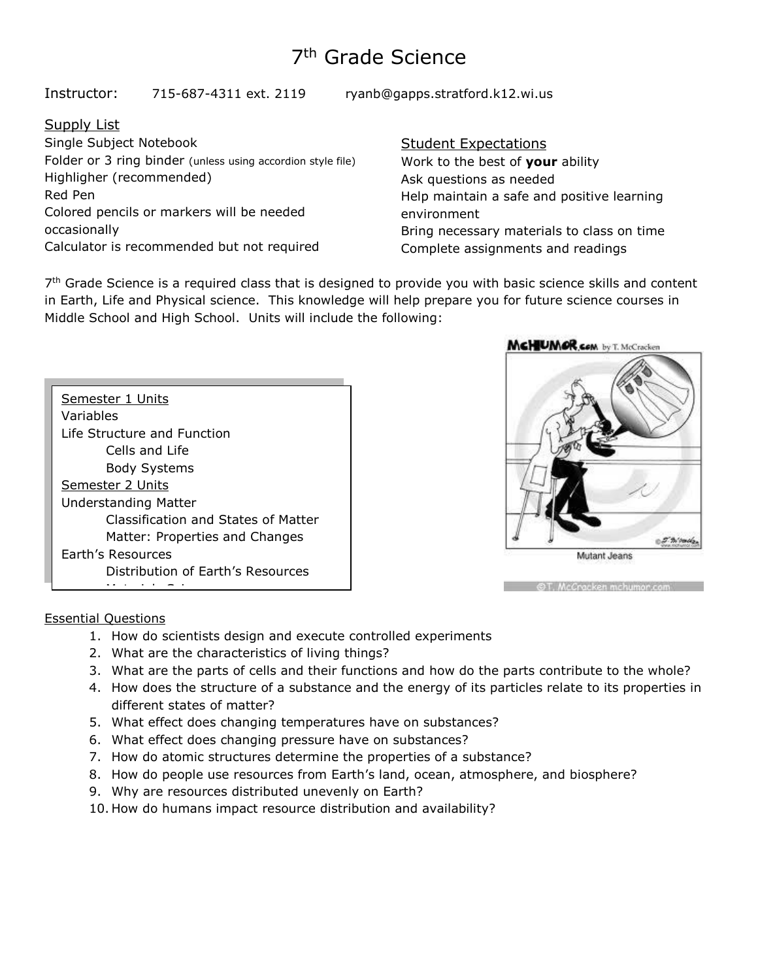# 7<sup>th</sup> Grade Science

Instructor: 715-687-4311 ext. 2119 ryanb@gapps.stratford.k12.wi.us

# Supply List

Single Subject Notebook Folder or 3 ring binder (unless using accordion style file) Highligher (recommended) Red Pen Colored pencils or markers will be needed occasionally Calculator is recommended but not required

# Student Expectations

Work to the best of **your** ability Ask questions as needed Help maintain a safe and positive learning environment Bring necessary materials to class on time Complete assignments and readings

7<sup>th</sup> Grade Science is a required class that is designed to provide you with basic science skills and content in Earth, Life and Physical science. This knowledge will help prepare you for future science courses in Middle School and High School. Units will include the following:

| Semester 1 Units                    |  |  |  |  |
|-------------------------------------|--|--|--|--|
| Variables                           |  |  |  |  |
| Life Structure and Function         |  |  |  |  |
| Cells and Life                      |  |  |  |  |
| <b>Body Systems</b>                 |  |  |  |  |
| Semester 2 Units                    |  |  |  |  |
| <b>Understanding Matter</b>         |  |  |  |  |
| Classification and States of Matter |  |  |  |  |
| Matter: Properties and Changes      |  |  |  |  |
| Earth's Resources                   |  |  |  |  |
| Distribution of Earth's Resources   |  |  |  |  |
|                                     |  |  |  |  |



OT, McCracken mchumor.com

### Essential Questions

- 1. How do scientists design and execute controlled experiments
- 2. What are the characteristics of living things?
- 3. What are the parts of cells and their functions and how do the parts contribute to the whole?
- 4. How does the structure of a substance and the energy of its particles relate to its properties in different states of matter?
- 5. What effect does changing temperatures have on substances?
- 6. What effect does changing pressure have on substances?
- 7. How do atomic structures determine the properties of a substance?
- 8. How do people use resources from Earth's land, ocean, atmosphere, and biosphere?
- 9. Why are resources distributed unevenly on Earth?
	- 10. How do humans impact resource distribution and availability?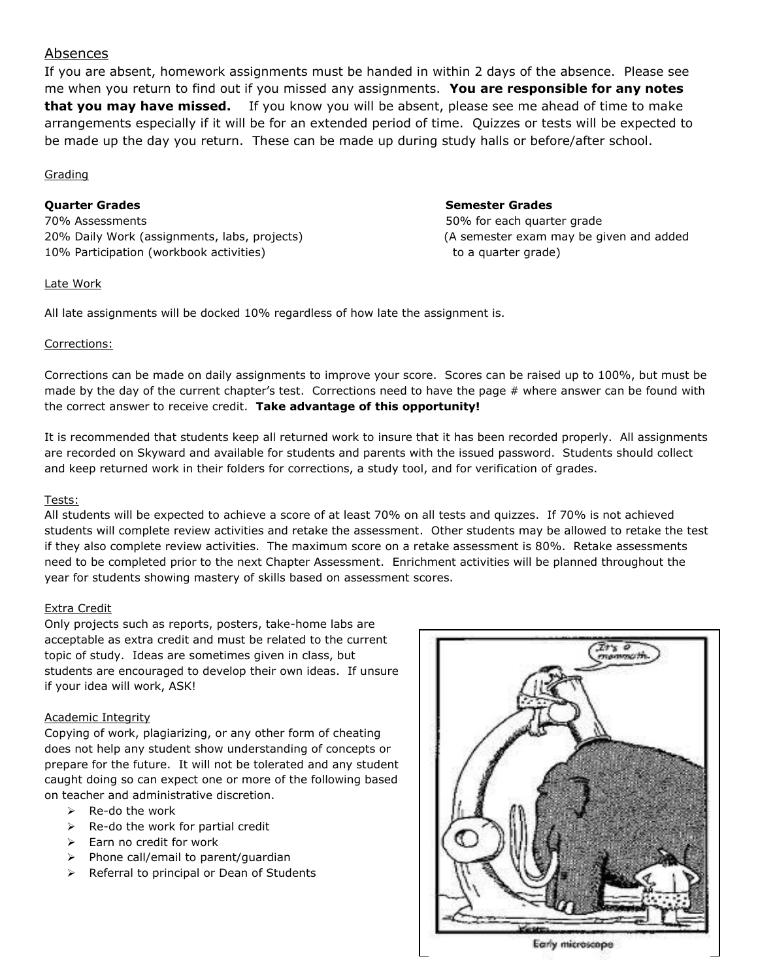# Absences

If you are absent, homework assignments must be handed in within 2 days of the absence. Please see me when you return to find out if you missed any assignments. **You are responsible for any notes that you may have missed.** If you know you will be absent, please see me ahead of time to make arrangements especially if it will be for an extended period of time. Quizzes or tests will be expected to be made up the day you return. These can be made up during study halls or before/after school.

#### Grading

#### **Quarter Grades Semester Grades**

70% Assessments 50% for each quarter grade 20% Daily Work (assignments, labs, projects) (A semester exam may be given and added 10% Participation (workbook activities) example to a quarter grade) to a quarter grade)

#### Late Work

All late assignments will be docked 10% regardless of how late the assignment is.

### Corrections:

Corrections can be made on daily assignments to improve your score. Scores can be raised up to 100%, but must be made by the day of the current chapter's test. Corrections need to have the page  $#$  where answer can be found with the correct answer to receive credit. **Take advantage of this opportunity!**

It is recommended that students keep all returned work to insure that it has been recorded properly. All assignments are recorded on Skyward and available for students and parents with the issued password. Students should collect and keep returned work in their folders for corrections, a study tool, and for verification of grades.

### Tests:

All students will be expected to achieve a score of at least 70% on all tests and quizzes. If 70% is not achieved students will complete review activities and retake the assessment. Other students may be allowed to retake the test if they also complete review activities. The maximum score on a retake assessment is 80%. Retake assessments need to be completed prior to the next Chapter Assessment. Enrichment activities will be planned throughout the year for students showing mastery of skills based on assessment scores.

### Extra Credit

Only projects such as reports, posters, take-home labs are acceptable as extra credit and must be related to the current topic of study. Ideas are sometimes given in class, but students are encouraged to develop their own ideas. If unsure if your idea will work, ASK!

### Academic Integrity

Copying of work, plagiarizing, or any other form of cheating does not help any student show understanding of concepts or prepare for the future. It will not be tolerated and any student caught doing so can expect one or more of the following based on teacher and administrative discretion.

- $\triangleright$  Re-do the work
- $\triangleright$  Re-do the work for partial credit
- ➢ Earn no credit for work
- ➢ Phone call/email to parent/guardian
- ➢ Referral to principal or Dean of Students